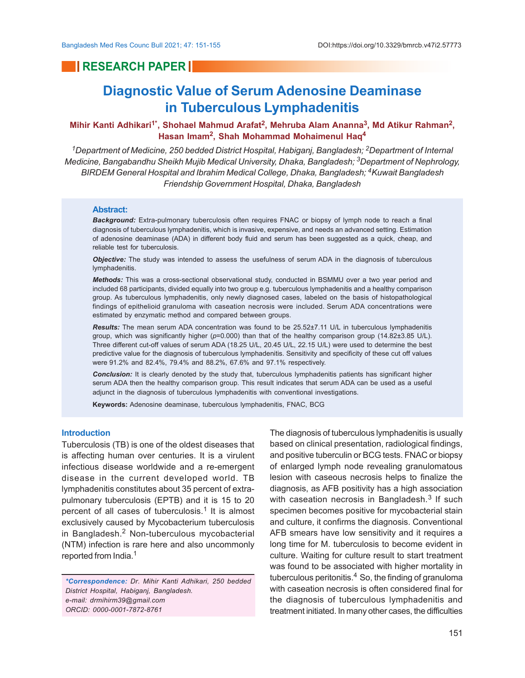# **RESEARCH PAPER IN**

# **Diagnostic Value of Serum Adenosine Deaminase in Tuberculous Lymphadenitis**

# **Mihir Kanti Adhikari<sup>1\*</sup>, Shohael Mahmud Arafat<sup>2</sup>, Mehruba Alam Ananna<sup>3</sup>, Md Atikur Rahman<sup>2</sup>, Hasan Imam<sup>2</sup> , Shah Mohammad Mohaimenul Haq<sup>4</sup>**

*<sup>1</sup>Department of Medicine, 250 bedded District Hospital, Habiganj, Bangladesh; 2Department of Internal Medicine, Bangabandhu Sheikh Mujib Medical University, Dhaka, Bangladesh; 3Department of Nephrology, BIRDEM General Hospital and Ibrahim Medical College, Dhaka, Bangladesh; 4Kuwait Bangladesh Friendship Government Hospital, Dhaka, Bangladesh*

#### **Abstract:**

*Background:* Extra-pulmonary tuberculosis often requires FNAC or biopsy of lymph node to reach a final diagnosis of tuberculous lymphadenitis, which is invasive, expensive, and needs an advanced setting. Estimation of adenosine deaminase (ADA) in different body fluid and serum has been suggested as a quick, cheap, and reliable test for tuberculosis.

*Objective:* The study was intended to assess the usefulness of serum ADA in the diagnosis of tuberculous lymphadenitis.

*Methods:* This was a cross-sectional observational study, conducted in BSMMU over a two year period and included 68 participants, divided equally into two group e.g. tuberculous lymphadenitis and a healthy comparison group. As tuberculous lymphadenitis, only newly diagnosed cases, labeled on the basis of histopathological findings of epithelioid granuloma with caseation necrosis were included. Serum ADA concentrations were estimated by enzymatic method and compared between groups.

*Results:* The mean serum ADA concentration was found to be 25.52±7.11 U/L in tuberculous lymphadenitis group, which was significantly higher ( $p=0.000$ ) than that of the healthy comparison group (14.82±3.85 U/L). Three different cut-off values of serum ADA (18.25 U/L, 20.45 U/L, 22.15 U/L) were used to determine the best predictive value for the diagnosis of tuberculous lymphadenitis. Sensitivity and specificity of these cut off values were 91.2% and 82.4%, 79.4% and 88.2%, 67.6% and 97.1% respectively.

*Conclusion:* It is clearly denoted by the study that, tuberculous lymphadenitis patients has significant higher serum ADA then the healthy comparison group. This result indicates that serum ADA can be used as a useful adjunct in the diagnosis of tuberculous lymphadenitis with conventional investigations.

**Keywords:** Adenosine deaminase, tuberculous lymphadenitis, FNAC, BCG

## **Introduction**

Tuberculosis (TB) is one of the oldest diseases that is affecting human over centuries. It is a virulent infectious disease worldwide and a re-emergent disease in the current developed world. TB lymphadenitis constitutes about 35 percent of extrapulmonary tuberculosis (EPTB) and it is 15 to 20 percent of all cases of tuberculosis.<sup>1</sup> It is almost exclusively caused by Mycobacterium tuberculosis in Bangladesh.<sup>2</sup> Non-tuberculous mycobacterial (NTM) infection is rare here and also uncommonly reported from India.<sup>1</sup>

*\*Correspondence: Dr. Mihir Kanti Adhikari, 250 bedded District Hospital, Habiganj, Bangladesh. e-mail: drmihirm39@gmail.com ORCID: 0000-0001-7872-8761*

The diagnosis of tuberculous lymphadenitis is usually based on clinical presentation, radiological findings, and positive tuberculin or BCG tests. FNAC or biopsy of enlarged lymph node revealing granulomatous lesion with caseous necrosis helps to finalize the diagnosis, as AFB positivity has a high association with caseation necrosis in Bangladesh. $^3$  If such specimen becomes positive for mycobacterial stain and culture, it confirms the diagnosis. Conventional AFB smears have low sensitivity and it requires a long time for M. tuberculosis to become evident in culture. Waiting for culture result to start treatment was found to be associated with higher mortality in tuberculous peritonitis. $4$  So, the finding of granuloma with caseation necrosis is often considered final for the diagnosis of tuberculous lymphadenitis and treatment initiated. In many other cases, the difficulties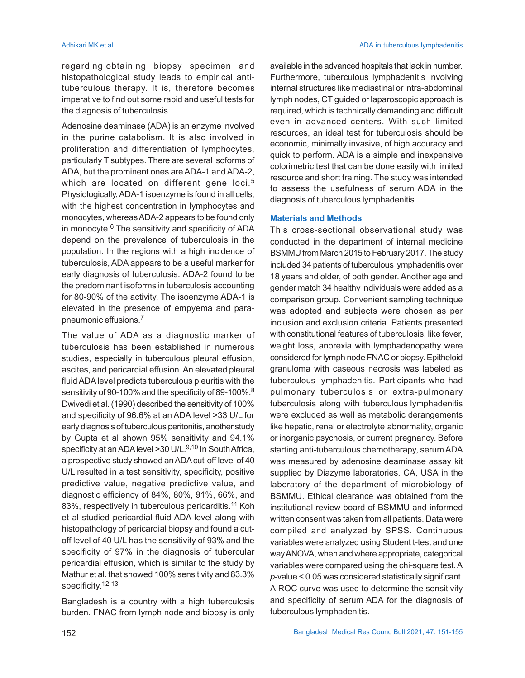regarding obtaining biopsy specimen and histopathological study leads to empirical antituberculous therapy. It is, therefore becomes imperative to find out some rapid and useful tests for the diagnosis of tuberculosis.

Adenosine deaminase (ADA) is an enzyme involved in the purine catabolism. It is also involved in proliferation and differentiation of lymphocytes, particularly T subtypes. There are several isoforms of ADA, but the prominent ones are ADA-1 and ADA-2, which are located on different gene loci.<sup>5</sup> Physiologically, ADA-1 isoenzyme is found in all cells, with the highest concentration in lymphocytes and monocytes, whereas ADA-2 appears to be found only in monocyte. $6$  The sensitivity and specificity of ADA depend on the prevalence of tuberculosis in the population. In the regions with a high incidence of tuberculosis, ADA appears to be a useful marker for early diagnosis of tuberculosis. ADA-2 found to be the predominant isoforms in tuberculosis accounting for 80-90% of the activity. The isoenzyme ADA-1 is elevated in the presence of empyema and parapneumonic effusions.<sup>7</sup>

The value of ADA as a diagnostic marker of tuberculosis has been established in numerous studies, especially in tuberculous pleural effusion, ascites, and pericardial effusion. An elevated pleural fluid ADA level predicts tuberculous pleuritis with the sensitivity of 90-100% and the specificity of 89-100%.<sup>8</sup> Dwivedi et al. (1990) described the sensitivity of 100% and specificity of 96.6% at an ADA level >33 U/L for early diagnosis of tuberculous peritonitis, another study by Gupta et al shown 95% sensitivity and 94.1% specificity at an ADA level >30 U/L.<sup>9,10</sup> In South Africa, a prospective study showed an ADA cut-off level of 40 U/L resulted in a test sensitivity, specificity, positive predictive value, negative predictive value, and diagnostic efficiency of 84%, 80%, 91%, 66%, and 83%, respectively in tuberculous pericarditis.<sup>11</sup> Koh et al studied pericardial fluid ADA level along with histopathology of pericardial biopsy and found a cutoff level of 40 U/L has the sensitivity of 93% and the specificity of 97% in the diagnosis of tubercular pericardial effusion, which is similar to the study by Mathur et al. that showed 100% sensitivity and 83.3% specificity. 12,13

Bangladesh is a country with a high tuberculosis burden. FNAC from lymph node and biopsy is only available in the advanced hospitals that lack in number. Furthermore, tuberculous lymphadenitis involving internal structures like mediastinal or intra-abdominal lymph nodes, CT guided or laparoscopic approach is required, which is technically demanding and difficult even in advanced centers. With such limited resources, an ideal test for tuberculosis should be economic, minimally invasive, of high accuracy and quick to perform. ADA is a simple and inexpensive colorimetric test that can be done easily with limited resource and short training. The study was intended to assess the usefulness of serum ADA in the diagnosis of tuberculous lymphadenitis.

### **Materials and Methods**

This cross-sectional observational study was conducted in the department of internal medicine BSMMU from March 2015 to February 2017. The study included 34 patients of tuberculous lymphadenitis over 18 years and older, of both gender. Another age and gender match 34 healthy individuals were added as a comparison group. Convenient sampling technique was adopted and subjects were chosen as per inclusion and exclusion criteria. Patients presented with constitutional features of tuberculosis, like fever, weight loss, anorexia with lymphadenopathy were considered for lymph node FNAC or biopsy. Epitheloid granuloma with caseous necrosis was labeled as tuberculous lymphadenitis. Participants who had pulmonary tuberculosis or extra-pulmonary tuberculosis along with tuberculous lymphadenitis were excluded as well as metabolic derangements like hepatic, renal or electrolyte abnormality, organic or inorganic psychosis, or current pregnancy. Before starting anti-tuberculous chemotherapy, serum ADA was measured by adenosine deaminase assay kit supplied by Diazyme laboratories, CA, USA in the laboratory of the department of microbiology of BSMMU. Ethical clearance was obtained from the institutional review board of BSMMU and informed written consent was taken from all patients. Data were compiled and analyzed by SPSS. Continuous variables were analyzed using Student t-test and one way ANOVA, when and where appropriate, categorical variables were compared using the chi-square test. A *p*-value < 0.05 was considered statistically significant. A ROC curve was used to determine the sensitivity and specificity of serum ADA for the diagnosis of tuberculous lymphadenitis.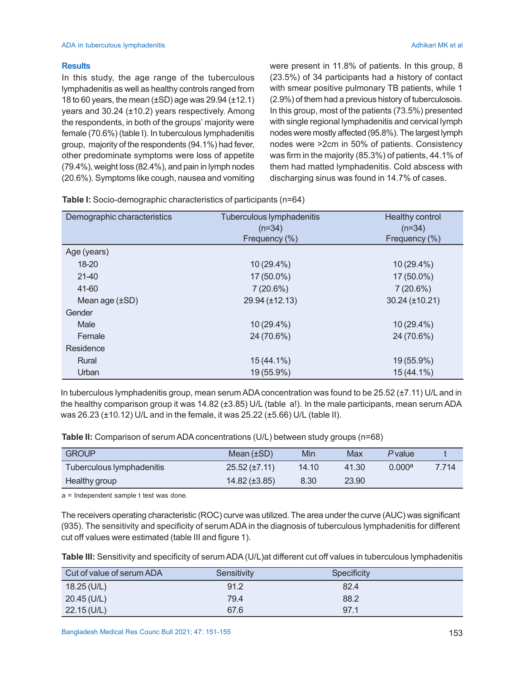# **Results**

In this study, the age range of the tuberculous lymphadenitis as well as healthy controls ranged from 18 to 60 years, the mean (±SD) age was 29.94 (±12.1) years and 30.24 (±10.2) years respectively. Among the respondents, in both of the groups' majority were female (70.6%) (table I). In tuberculous lymphadenitis group, majority of the respondents (94.1%) had fever, other predominate symptoms were loss of appetite (79.4%), weight loss (82.4%), and pain in lymph nodes (20.6%). Symptoms like cough, nausea and vomiting

were present in 11.8% of patients. In this group, 8 (23.5%) of 34 participants had a history of contact with smear positive pulmonary TB patients, while 1 (2.9%) of them had a previous history of tuberculosois. In this group, most of the patients (73.5%) presented with single regional lymphadenitis and cervical lymph nodes were mostly affected (95.8%). The largest lymph nodes were >2cm in 50% of patients. Consistency was firm in the majority (85.3%) of patients, 44.1% of them had matted lymphadenitis. Cold abscess with discharging sinus was found in 14.7% of cases.

| Demographic characteristics | Tuberculous lymphadenitis | Healthy control |  |
|-----------------------------|---------------------------|-----------------|--|
|                             | $(n=34)$                  | $(n=34)$        |  |
|                             | Frequency (%)             | Frequency (%)   |  |
| Age (years)                 |                           |                 |  |
| 18-20                       | 10 (29.4%)                | 10 (29.4%)      |  |
| $21-40$                     | 17 (50.0%)                | 17 (50.0%)      |  |
| 41-60                       | 7(20.6%)                  | 7(20.6%)        |  |
| Mean age $(\pm SD)$         | 29.94 (±12.13)            | 30.24 (±10.21)  |  |
| Gender                      |                           |                 |  |
| Male                        | 10 (29.4%)                | 10 (29.4%)      |  |
| Female                      | 24 (70.6%)                | 24 (70.6%)      |  |
| Residence                   |                           |                 |  |
| Rural                       | $15(44.1\%)$              | 19 (55.9%)      |  |
| Urban                       | 19 (55.9%)                | 15 (44.1%)      |  |

**Table I:** Socio-demographic characteristics of participants (n=64)

In tuberculous lymphadenitis group, mean serum ADA concentration was found to be 25.52 (±7.11) U/L and in the healthy comparison group it was 14.82 (±3.85) U/L (table a!). In the male participants, mean serum ADA was 26.23 (±10.12) U/L and in the female, it was 25.22 (±5.66) U/L (table II).

**Table II:** Comparison of serum ADA concentrations (U/L) between study groups (n=68)

| <b>GROUP</b>              | Mean $(\pm SD)$       | Min   | Max   | <i>P</i> value     |       |
|---------------------------|-----------------------|-------|-------|--------------------|-------|
| Tuberculous lymphadenitis | $25.52 \, (\pm 7.11)$ | 14.10 | 41.30 | 0.000 <sup>a</sup> | 7.714 |
| Healthy group             | $14.82 \ (\pm 3.85)$  | 8.30  | 23.90 |                    |       |

a = Independent sample t test was done.

The receivers operating characteristic (ROC) curve was utilized. The area under the curve (AUC) was significant (935). The sensitivity and specificity of serum ADA in the diagnosis of tuberculous lymphadenitis for different cut off values were estimated (table III and figure 1).

**Table III:** Sensitivity and specificity of serum ADA (U/L)at different cut off values in tuberculous lymphadenitis

| Cut of value of serum ADA | Sensitivity | Specificity |  |
|---------------------------|-------------|-------------|--|
| 18.25 (U/L)               | 91.2        | 82.4        |  |
| $20.45$ (U/L)             | 79.4        | 88.2        |  |
| 22.15 (U/L)               | 67.6        | 97.1        |  |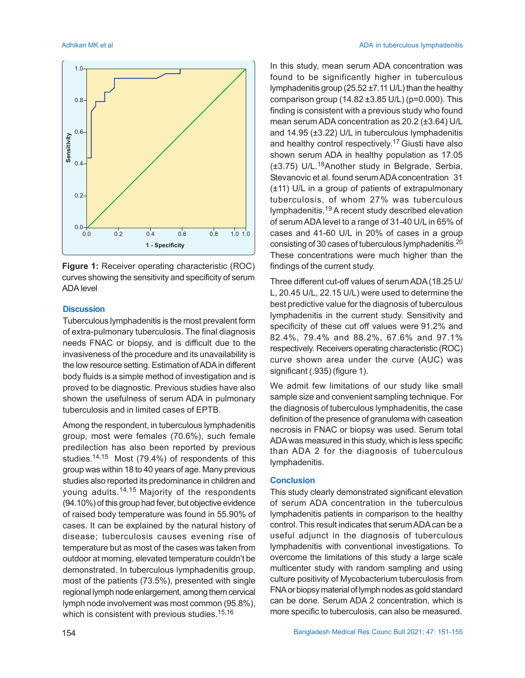

**Figure 1:** Receiver operating characteristic (ROC) curves showing the sensitivity and specificity of serum ADA level

#### **Discussion**

Tuberculous lymphadenitis is the most prevalent form of extra-pulmonary tuberculosis. The final diagnosis needs FNAC or biopsy, and is difficult due to the invasiveness of the procedure and its unavailability is the low resource setting. Estimation of ADA in different body fluids is a simple method of investigation and is proved to be diagnostic. Previous studies have also shown the usefulness of serum ADA in pulmonary tuberculosis and in limited cases of EPTB.

Among the respondent, in tuberculous lymphadenitis group, most were females (70.6%), such female predilection has also been reported by previous studies.14,15 Most (79.4%) of respondents of this group was within 18 to 40 years of age. Many previous studies also reported its predominance in children and young adults.<sup>14,15</sup> Majority of the respondents (94.10%) of this group had fever, but objective evidence of raised body temperature was found in 55.90% of cases. It can be explained by the natural history of disease; tuberculosis causes evening rise of temperature but as most of the cases was taken from outdoor at morning, elevated temperature couldn't be demonstrated. In tuberculous lymphadenitis group, most of the patients (73.5%), presented with single regional lymph node enlargement, among them cervical lymph node involvement was most common (95.8%), which is consistent with previous studies.<sup>15,16</sup>

In this study, mean serum ADA concentration was found to be significantly higher in tuberculous lymphadenitis group (25.52 ±7.11 U/L) than the healthy comparison group (14.82 ±3.85 U/L) (p=0.000). This finding is consistent with a previous study who found mean serum ADA concentration as 20.2 (±3.64) U/L and 14.95 (±3.22) U/L in tuberculous lymphadenitis and healthy control respectively.<sup>17</sup> Giusti have also shown serum ADA in healthy population as 17.05 (±3.75) U/L.18Another study in Belgrade, Serbia, Stevanovic et al. found serum ADA concentration 31 (±11) U/L in a group of patients of extrapulmonary tuberculosis, of whom 27% was tuberculous lymphadenitis.19 A recent study described elevation of serum ADA level to a range of 31-40 U/L in 65% of cases and 41-60 U/L in 20% of cases in a group consisting of 30 cases of tuberculous lymphadenitis.<sup>20</sup> These concentrations were much higher than the findings of the current study.

Three different cut-off values of serum ADA (18.25 U/ L, 20.45 U/L, 22.15 U/L) were used to determine the best predictive value for the diagnosis of tuberculous lymphadenitis in the current study. Sensitivity and specificity of these cut off values were 91.2% and 82.4%, 79.4% and 88.2%, 67.6% and 97.1% respectively. Receivers operating characteristic (ROC) curve shown area under the curve (AUC) was significant (.935) (figure 1).

We admit few limitations of our study like small sample size and convenient sampling technique. For the diagnosis of tuberculous lymphadenitis, the case definition of the presence of granuloma with caseation necrosis in FNAC or biopsy was used. Serum total ADA was measured in this study, which is less specific than ADA 2 for the diagnosis of tuberculous lymphadenitis.

### **Conclusion**

This study clearly demonstrated significant elevation of serum ADA concentration in the tuberculous lymphadenitis patients in comparison to the healthy control. This result indicates that serum ADA can be a useful adjunct in the diagnosis of tuberculous lymphadenitis with conventional investigations. To overcome the limitations of this study a large scale multicenter study with random sampling and using culture positivity of Mycobacterium tuberculosis from FNA or biopsy material of lymph nodes as gold standard can be done. Serum ADA 2 concentration, which is more specific to tuberculosis, can also be measured.